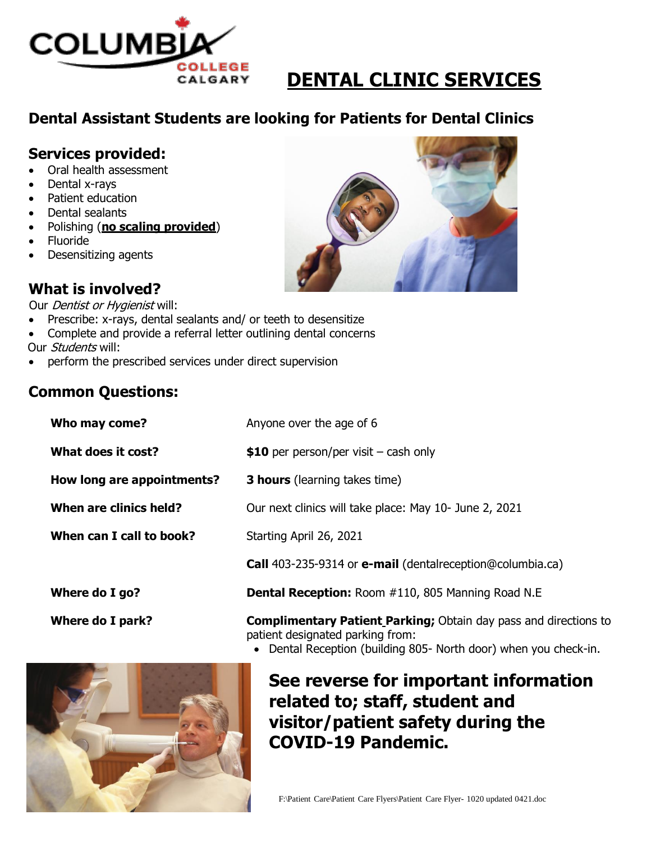

# **DENTAL CLINIC SERVICES**

## **Dental Assistant Students are looking for Patients for Dental Clinics**

#### **Services provided:**

- Oral health assessment
- Dental x-rays
- Patient education
- Dental sealants
- Polishing (**no scaling provided**)
- Fluoride
- Desensitizing agents

## **What is involved?**

Our *Dentist or Hygienist* will:

- Prescribe: x-rays, dental sealants and/ or teeth to desensitize
- Complete and provide a referral letter outlining dental concerns
- Our *Students* will:
- perform the prescribed services under direct supervision

#### **Common Questions:**

| Who may come?              | Anyone over the age of 6                                         |
|----------------------------|------------------------------------------------------------------|
| What does it cost?         | \$10 per person/per visit $-$ cash only                          |
| How long are appointments? | <b>3 hours</b> (learning takes time)                             |
| When are clinics held?     | Our next clinics will take place: May 10- June 2, 2021           |
| When can I call to book?   | Starting April 26, 2021                                          |
|                            | Call 403-235-9314 or e-mail (dentalreception@columbia.ca)        |
| Where do I go?             | <b>Dental Reception: Room #110, 805 Manning Road N.E</b>         |
| Where do I nark?           | <b>Complimentary Datient Darking:</b> Obtain day pass and direct |

- **Where do I park? Complimentary Patient Parking;** Obtain day pass and directions to patient designated parking from:
	- Dental Reception (building 805- North door) when you check-in.



## **See reverse for important information related to; staff, student and visitor/patient safety during the COVID-19 Pandemic.**